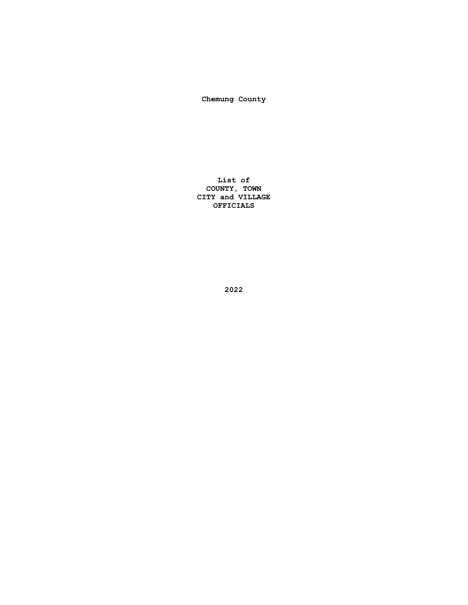**Chemung County**

**List of COUNTY, TOWN CITY and VILLAGE OFFICIALS**

**2022**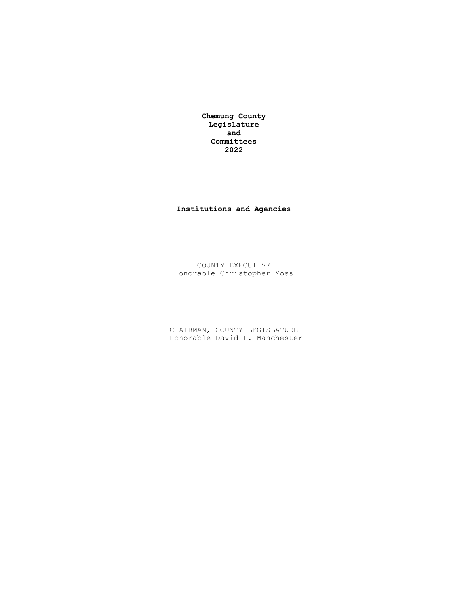**Chemung County Legislature and Committees 2022**

## **Institutions and Agencies**

COUNTY EXECUTIVE Honorable Christopher Moss

CHAIRMAN, COUNTY LEGISLATURE Honorable David L. Manchester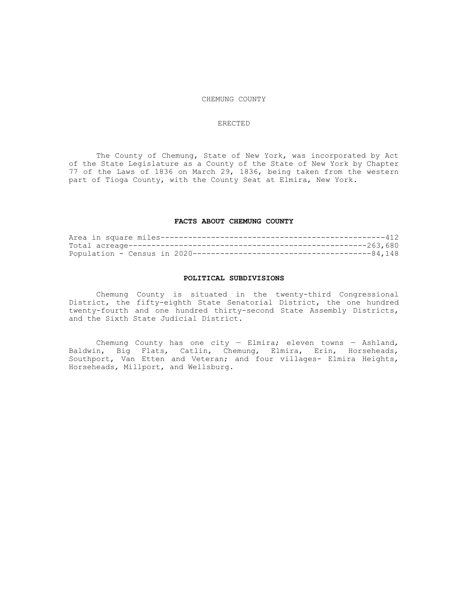#### CHEMUNG COUNTY

### ERECTED

The County of Chemung, State of New York, was incorporated by Act of the State Legislature as a County of the State of New York by Chapter 77 of the Laws of 1836 on March 29, 1836, being taken from the western part of Tioga County, with the County Seat at Elmira, New York.

### **FACTS ABOUT CHEMUNG COUNTY**

#### **POLITICAL SUBDIVISIONS**

Chemung County is situated in the twenty-third Congressional District, the fifty-eighth State Senatorial District, the one hundred twenty-fourth and one hundred thirty-second State Assembly Districts, and the Sixth State Judicial District.

Chemung County has one city - Elmira; eleven towns - Ashland, Baldwin, Big Flats, Catlin, Chemung, Elmira, Erin, Horseheads, Southport, Van Etten and Veteran; and four villages- Elmira Heights, Horseheads, Millport, and Wellsburg.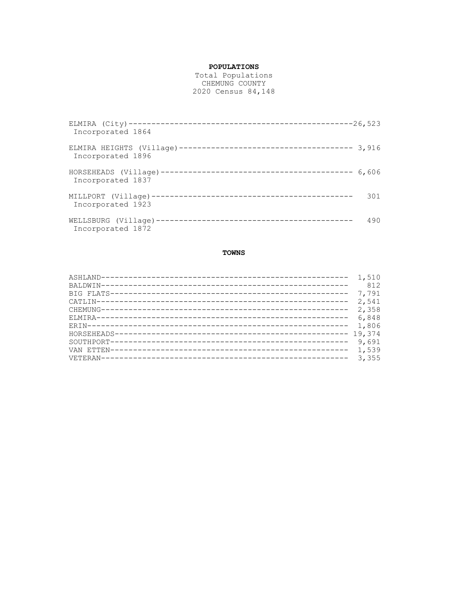## **POPULATIONS**

Total Populations CHEMUNG COUNTY 2020 Census 84,148

| Incorporated 1864 |       |
|-------------------|-------|
| Incorporated 1896 |       |
| Incorporated 1837 | 6,606 |
| Incorporated 1923 | 301   |
| Incorporated 1872 | 490   |

## **TOWNS**

| 812 |
|-----|
|     |
|     |
|     |
|     |
|     |
|     |
|     |
|     |
|     |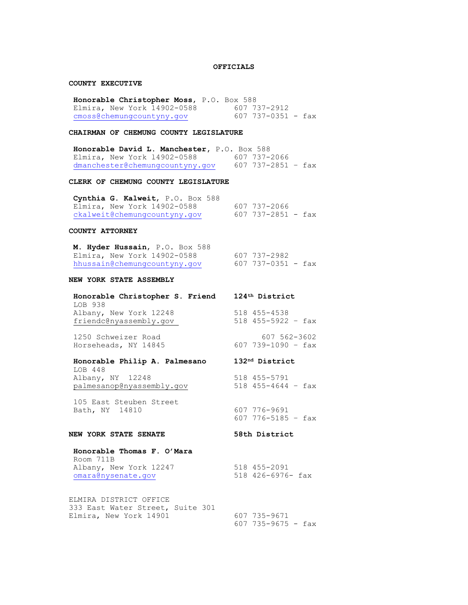### **OFFICIALS**

### **COUNTY EXECUTIVE**

**Honorable Christopher Moss**, P.O. Box 588 Elmira, New York 14902-0588 607 737-2912<br>cmoss@chemunqcountyny.gov 607 737-0351 - fax cmoss@chemungcountyny.gov

## **CHAIRMAN OF CHEMUNG COUNTY LEGISLATURE**

**Honorable David L. Manchester,** P.O. Box 588 Elmira, New York 14902-0588 607 737-2066 [dmanchester@chemungcountyny.gov](mailto:dmanchester@chemungcountyny.gov) 607 737-2851 – fax

#### **CLERK OF CHEMUNG COUNTY LEGISLATURE**

**Cynthia G. Kalweit**, P.O. Box 588 Elmira, New York 14902-0588 607 737-2066 [ckalweit@chemungcountyny.gov](mailto:ckalweit@chemungcountyny.gov) 607 737-2851 - fax

## **COUNTY ATTORNEY**

**M. Hyder Hussain, P.O.** Box 588<br>
Elmira, New York 14902-0588 607 737-2982<br>
hhussain@chemungcountyny.gov 607 737-0351 - fax Elmira, New York  $14902-0588$ [hhussain@chemungcountyny.gov](mailto:hhussain@chemungcountyny.gov)

### **NEW YORK STATE ASSEMBLY**

**Honorable Christopher S. Friend 124th District** LOB 938 Albany, New York 12248 518 455-4538 friendc@nyassembly.gov 518 455-5922 – fax

1250 Schweizer Road 607 562-3602 Horseheads, NY 14845 607 739-1090 - fax

## **Honorable Philip A. Palmesano 132nd District**

LOB 448 Albany, NY 12248 518 455-5791 palmesanop@nyassembly.gov 518 455-4644 – fax

105 East Steuben Street Bath, NY 14810 607 776-9691

### **NEW YORK STATE SENATE 58th District**

607 776-5185 – fax

### **Honorable Thomas F. O'Mara** Room 711B Albany, New York 12247 518 455-2091

[omara@nysenate.gov](mailto:omara@nysenate.gov) 518 426-6976- fax

ELMIRA DISTRICT OFFICE 333 East Water Street, Suite 301 Elmira, New York 14901 607 735-9671

607 735-9675 - fax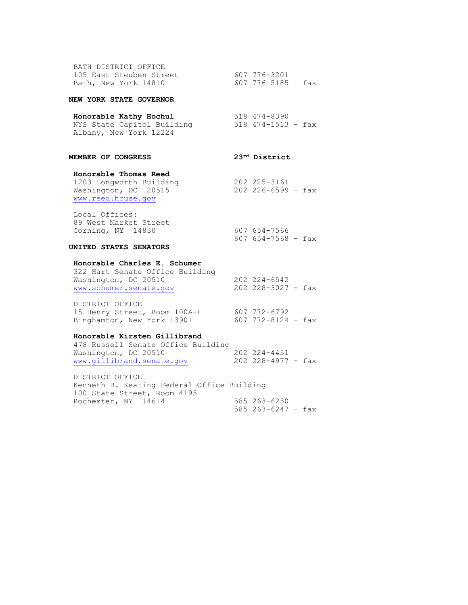| BATH DISTRICT OFFICE    |                    |  |
|-------------------------|--------------------|--|
| 105 East Steuben Street | 607 776-3201       |  |
| Bath, New York 14810    | 607 776-5185 - fax |  |

### **NEW YORK STATE GOVERNOR**

# **Honorable Kathy Hochul** 518 474-8390

NYS State Capitol Building 518 474-1513 - fax Albany, New York 12224

## **MEMBER OF CONGRESS 23rd District**

607 654-7568 – fax

# **Honorable Thomas Reed**

1203 Longworth Building 202 225-3161 Washington, DC 20515 202 226-6599 – fax [www.reed.house.gov](http://www.reed.house.gov/)

Local Offices: 89 West Market Street Corning, NY 14830 607 654-7566

### **UNITED STATES SENATORS**

### **Honorable Charles E. Schumer**

322 Hart Senate Office Building Washington, DC 20510 202 224-6542 [www.schumer.senate.gov](http://www.schumer.senate.gov/) 202 228-3027 - fax

DISTRICT OFFICE 15 Henry Street, Room 100A-F 607 772-6792 Binghamton, New York 13901 607 772-8124 - fax

### **Honorable Kirsten Gillibrand**

478 Russell Senate Office Building Washington, DC 20510 202 224-4451 [www.gillibrand.senate.gov](http://www.gillibrand.senate.gov/) 202 228-4977 - fax

DISTRICT OFFICE Kenneth B. Keating Federal Office Building 100 State Street, Room 4195 Rochester, NY 14614 585 263-6250 585 263-6247 – fax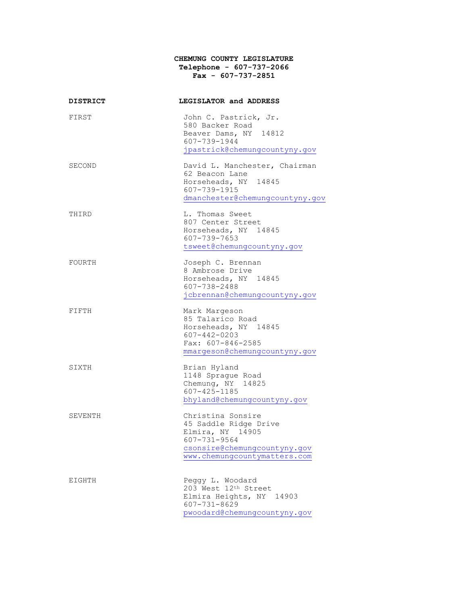## **CHEMUNG COUNTY LEGISLATURE Telephone - 607-737-2066 Fax - 607-737-2851**

| <b>DISTRICT</b> | LEGISLATOR and ADDRESS                                                                                                                               |
|-----------------|------------------------------------------------------------------------------------------------------------------------------------------------------|
| FIRST           | John C. Pastrick, Jr.<br>580 Backer Road<br>Beaver Dams, NY 14812<br>607-739-1944<br>jpastrick@chemungcountyny.gov                                   |
| SECOND          | David L. Manchester, Chairman<br>62 Beacon Lane<br>Horseheads, NY 14845<br>607-739-1915<br>dmanchester@chemungcountyny.gov                           |
| THIRD           | L. Thomas Sweet<br>807 Center Street<br>Horseheads, NY 14845<br>607-739-7653<br>tsweet@chemungcountyny.gov                                           |
| FOURTH          | Joseph C. Brennan<br>8 Ambrose Drive<br>Horseheads, NY 14845<br>607-738-2488<br>jcbrennan@chemungcountyny.gov                                        |
| FIFTH           | Mark Margeson<br>85 Talarico Road<br>Horseheads, NY 14845<br>$607 - 442 - 0203$<br>Fax: 607-846-2585<br>mmargeson@chemungcountyny.gov                |
| SIXTH           | Brian Hyland<br>1148 Sprague Road<br>Chemung, NY 14825<br>$607 - 425 - 1185$<br>bhyland@chemungcountyny.gov                                          |
| SEVENTH         | Christina Sonsire<br>45 Saddle Ridge Drive<br>Elmira, NY 14905<br>$607 - 731 - 9564$<br>csonsire@chemungcountyny.gov<br>www.chemungcountymatters.com |
| EIGHTH          | Peggy L. Woodard<br>203 West 12th Street<br>Elmira Heights, NY<br>14903<br>$607 - 731 - 8629$<br>pwoodard@chemungcountyny.gov                        |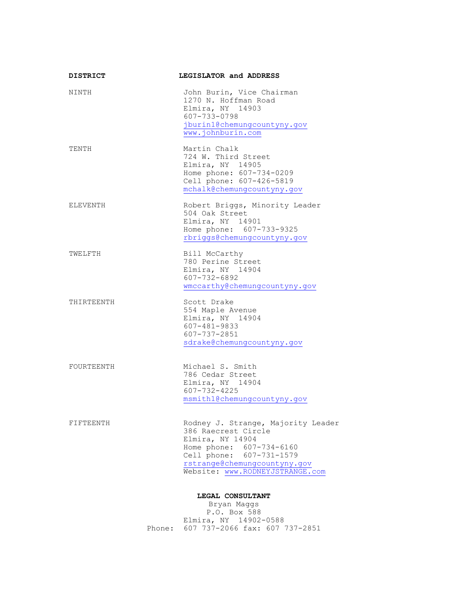| <b>DISTRICT</b> | LEGISLATOR and ADDRESS                                                                                                                                                                                   |  |
|-----------------|----------------------------------------------------------------------------------------------------------------------------------------------------------------------------------------------------------|--|
| NINTH           | John Burin, Vice Chairman<br>1270 N. Hoffman Road<br>Elmira, NY 14903<br>607-733-0798<br>jburin1@chemungcountyny.gov<br>www.johnburin.com                                                                |  |
| TENTH           | Martin Chalk<br>724 W. Third Street<br>Elmira, NY 14905<br>Home phone: 607-734-0209<br>Cell phone: 607-426-5819<br>mchalk@chemungcountyny.gov                                                            |  |
| ELEVENTH        | Robert Briggs, Minority Leader<br>504 Oak Street<br>Elmira, NY 14901<br>Home phone: 607-733-9325<br>rbriggs@chemungcountyny.gov                                                                          |  |
| TWELFTH         | Bill McCarthy<br>780 Perine Street<br>Elmira, NY 14904<br>607-732-6892<br>wmccarthy@chemungcountyny.gov                                                                                                  |  |
| THIRTEENTH      | Scott Drake<br>554 Maple Avenue<br>Elmira, NY 14904<br>$607 - 481 - 9833$<br>$607 - 737 - 2851$<br>sdrake@chemungcountyny.gov                                                                            |  |
| FOURTEENTH      | Michael S. Smith<br>786 Cedar Street<br>Elmira, NY 14904<br>$607 - 732 - 4225$<br>msmith1@chemungcountyny.gov                                                                                            |  |
| FIFTEENTH       | Rodney J. Strange, Majority Leader<br>386 Raecrest Circle<br>Elmira, NY 14904<br>Home phone: 607-734-6160<br>Cell phone: 607-731-1579<br>rstrange@chemungcountyny.gov<br>Website: www.RODNEYJSTRANGE.com |  |
|                 | LEGAL CONSULTANT                                                                                                                                                                                         |  |
|                 | Bryan Maggs<br>P.O. Box 588                                                                                                                                                                              |  |
|                 | Elmira, NY 14902-0588                                                                                                                                                                                    |  |
|                 | 607 737-2066 fax: 607 737-2851<br>Phone:                                                                                                                                                                 |  |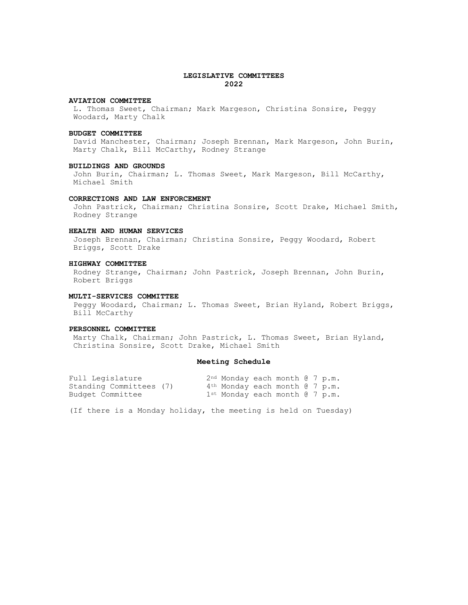### **LEGISLATIVE COMMITTEES 2022**

#### **AVIATION COMMITTEE**

L. Thomas Sweet, Chairman; Mark Margeson, Christina Sonsire, Peggy Woodard, Marty Chalk

#### **BUDGET COMMITTEE**

David Manchester, Chairman; Joseph Brennan, Mark Margeson, John Burin, Marty Chalk, Bill McCarthy, Rodney Strange

#### **BUILDINGS AND GROUNDS**

John Burin, Chairman; L. Thomas Sweet, Mark Margeson, Bill McCarthy, Michael Smith

## **CORRECTIONS AND LAW ENFORCEMENT**

John Pastrick, Chairman; Christina Sonsire, Scott Drake, Michael Smith, Rodney Strange

### **HEALTH AND HUMAN SERVICES**

Joseph Brennan, Chairman; Christina Sonsire, Peggy Woodard, Robert Briggs, Scott Drake

#### **HIGHWAY COMMITTEE**

Rodney Strange, Chairman; John Pastrick, Joseph Brennan, John Burin, Robert Briggs

#### **MULTI-SERVICES COMMITTEE**

Peggy Woodard, Chairman; L. Thomas Sweet, Brian Hyland, Robert Briggs, Bill McCarthy

#### **PERSONNEL COMMITTEE**

Marty Chalk, Chairman; John Pastrick, L. Thomas Sweet, Brian Hyland, Christina Sonsire, Scott Drake, Michael Smith

### **Meeting Schedule**

| Full Legislature        | $2nd$ Monday each month $(3, 7, p, m, n)$      |  |  |  |
|-------------------------|------------------------------------------------|--|--|--|
| Standing Committees (7) | $4th$ Monday each month $67$ p.m.              |  |  |  |
| Budget Committee        | $1$ <sup>st</sup> Monday each month $6$ 7 p.m. |  |  |  |

(If there is a Monday holiday, the meeting is held on Tuesday)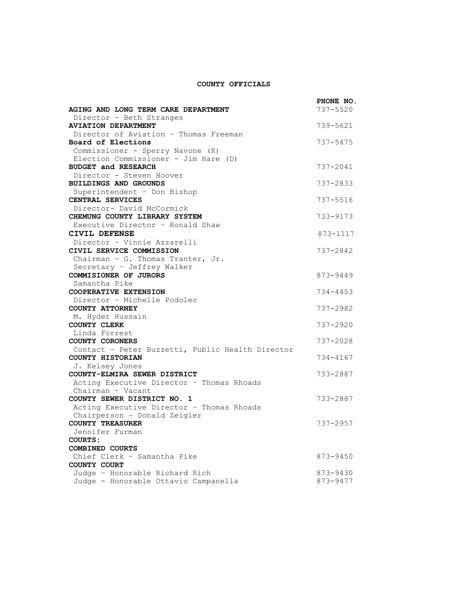## **COUNTY OFFICIALS**

|                                                                          | PHONE NO. |
|--------------------------------------------------------------------------|-----------|
| AGING AND LONG TERM CARE DEPARTMENT                                      | 737-5520  |
| Director - Beth Stranges                                                 |           |
| <b>AVIATION DEPARTMENT</b>                                               | 739-5621  |
| Director of Aviation - Thomas Freeman                                    |           |
| Board of Elections                                                       | 737-5475  |
| Commissioner - Sperry Navone (R)<br>Election Commissioner - Jim Hare (D) |           |
| <b>BUDGET and RESEARCH</b>                                               | 737-2041  |
| Director - Steven Hoover                                                 |           |
| <b>BUILDINGS AND GROUNDS</b>                                             | 737-2833  |
| Superintendent - Don Bishop                                              |           |
| CENTRAL SERVICES                                                         | 737-5516  |
| Director- David McCormick                                                |           |
| CHEMUNG COUNTY LIBRARY SYSTEM                                            | 733-9173  |
| Executive Director - Ronald Shaw                                         |           |
| <b>CIVIL DEFENSE</b>                                                     | 873-1117  |
| Director - Vinnie Azzarelli                                              |           |
| CIVIL SERVICE COMMISSION<br>Chairman - G. Thomas Tranter, Jr.            | 737-2842  |
| Secretary - Jeffrey Walker                                               |           |
| COMMISIONER OF JURORS                                                    | 873-9449  |
| Samantha Pike                                                            |           |
| COOPERATIVE EXTENSION                                                    | 734-4453  |
| Director - Michelle Podolec                                              |           |
| COUNTY ATTORNEY                                                          | 737-2982  |
| M. Hyder Hussain                                                         |           |
| COUNTY CLERK                                                             | 737-2920  |
| Linda Forrest                                                            |           |
| COUNTY CORONERS                                                          | 737-2028  |
| Contact - Peter Buzzetti, Public Health Director<br>COUNTY HISTORIAN     | 734-4167  |
| J. Kelsey Jones                                                          |           |
| COUNTY-ELMIRA SEWER DISTRICT                                             | 733-2887  |
| Acting Executive Director - Thomas Rhoads                                |           |
| Chairman - Vacant                                                        |           |
| COUNTY SEWER DISTRICT NO. 1                                              | 733-2887  |
| Acting Executive Director - Thomas Rhoads                                |           |
| Chairperson - Donald Zeigler                                             |           |
| <b>COUNTY TREASURER</b>                                                  | 737-2957  |
| Jennifer Furman                                                          |           |
| COURTS:<br><b>COMBINED COURTS</b>                                        |           |
| Chief Clerk - Samantha Pike                                              | 873-9450  |
| COUNTY COURT                                                             |           |
| Judge - Honorable Richard Rich                                           | 873-9430  |
| Judge - Honorable Ottavio Campanella                                     | 873-9477  |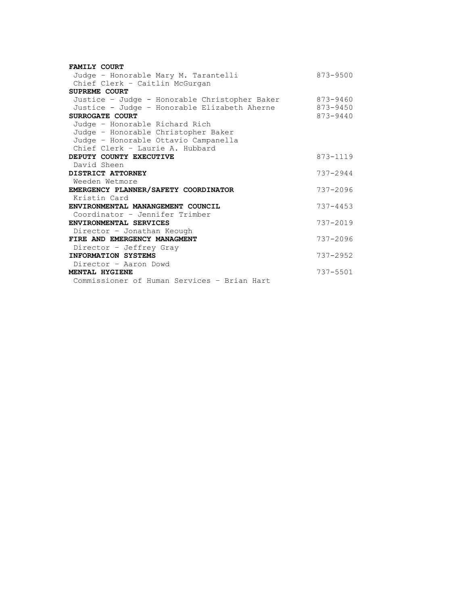| <b>FAMILY COURT</b>                           |              |
|-----------------------------------------------|--------------|
| Judge - Honorable Mary M. Tarantelli          | $873 - 9500$ |
| Chief Clerk - Caitlin McGurgan                |              |
| SUPREME COURT                                 |              |
| Justice - Judge - Honorable Christopher Baker | 873-9460     |
| Justice - Judge - Honorable Elizabeth Aherne  | 873-9450     |
| SURROGATE COURT                               | $873 - 9440$ |
| Judge - Honorable Richard Rich                |              |
| Judge - Honorable Christopher Baker           |              |
| Judge - Honorable Ottavio Campanella          |              |
| Chief Clerk - Laurie A. Hubbard               |              |
| DEPUTY COUNTY EXECUTIVE                       | 873-1119     |
| David Sheen                                   |              |
| DISTRICT ATTORNEY                             | $737 - 2944$ |
| Weeden Wetmore                                |              |
| EMERGENCY PLANNER/SAFETY COORDINATOR          | 737-2096     |
| Kristin Card                                  |              |
| ENVIRONMENTAL MANANGEMENT COUNCIL             | $737 - 4453$ |
| Coordinator - Jennifer Trimber                |              |
| ENVIRONMENTAL SERVICES                        | $737 - 2019$ |
| Director - Jonathan Keough                    |              |
| FIRE AND EMERGENCY MANAGMENT                  | $737 - 2096$ |
| Director - Jeffrey Gray                       |              |
| <b>INFORMATION SYSTEMS</b>                    | $737 - 2952$ |
| Director - Aaron Dowd                         |              |
| MENTAL HYGIENE                                | $737 - 5501$ |
| Commissioner of Human Services - Brian Hart   |              |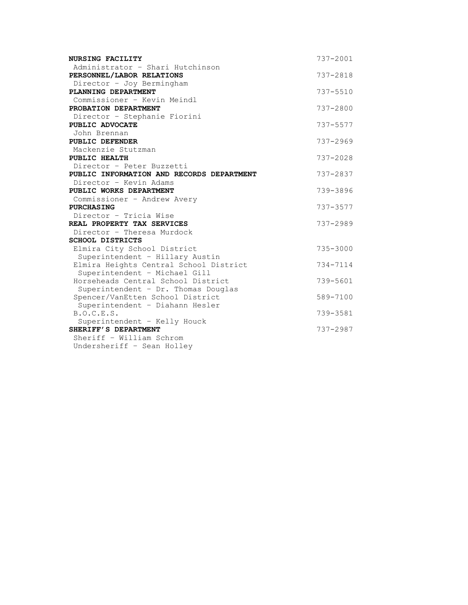| NURSING FACILITY                                     | 737-2001     |
|------------------------------------------------------|--------------|
| Administrator - Shari Hutchinson                     |              |
| PERSONNEL/LABOR RELATIONS                            | 737-2818     |
| Director - Joy Bermingham                            |              |
| PLANNING DEPARTMENT                                  | 737-5510     |
| Commissioner - Kevin Meindl                          |              |
| PROBATION DEPARTMENT                                 | 737-2800     |
| Director - Stephanie Fiorini                         |              |
| PUBLIC ADVOCATE<br>John Brennan                      | 737-5577     |
| PUBLIC DEFENDER                                      | 737-2969     |
| Mackenzie Stutzman                                   |              |
| PUBLIC HEALTH                                        | $737 - 2028$ |
| Director - Peter Buzzetti                            |              |
| PUBLIC INFORMATION AND RECORDS DEPARTMENT            | 737-2837     |
| Director - Kevin Adams                               |              |
| PUBLIC WORKS DEPARTMENT                              | 739-3896     |
| Commissioner - Andrew Avery                          |              |
| <b>PURCHASING</b>                                    | $737 - 3577$ |
| Director - Tricia Wise<br>REAL PROPERTY TAX SERVICES |              |
| Director - Theresa Murdock                           | 737-2989     |
| <b>SCHOOL DISTRICTS</b>                              |              |
| Elmira City School District                          | $735 - 3000$ |
| Superintendent - Hillary Austin                      |              |
| Elmira Heights Central School District               | 734-7114     |
| Superintendent - Michael Gill                        |              |
| Horseheads Central School District                   | 739-5601     |
| Superintendent - Dr. Thomas Douglas                  |              |
| Spencer/VanEtten School District                     | 589-7100     |
| Superintendent - Diahann Hesler                      |              |
| B.O.C.E.S.                                           | 739-3581     |
| Superintendent - Kelly Houck<br>SHERIFF'S DEPARTMENT | 737-2987     |
| Sheriff - William Schrom                             |              |
| Undersheriff - Sean Holley                           |              |
|                                                      |              |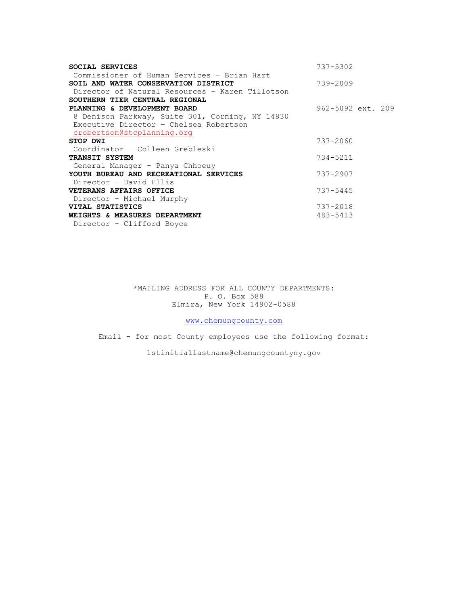| SOCIAL SERVICES                                 | 737-5302              |
|-------------------------------------------------|-----------------------|
| Commissioner of Human Services - Brian Hart     |                       |
| SOIL AND WATER CONSERVATION DISTRICT            | 739-2009              |
| Director of Natural Resources - Karen Tillotson |                       |
| SOUTHERN TIER CENTRAL REGIONAL                  |                       |
| PLANNING & DEVELOPMENT BOARD                    | $962 - 5092$ ext. 209 |
| 8 Denison Parkway, Suite 301, Corning, NY 14830 |                       |
| Executive Director - Chelsea Robertson          |                       |
| crobertson@stcplanning.org                      |                       |
| STOP DWI                                        | 737-2060              |
| Coordinator - Colleen Grebleski                 |                       |
| TRANSIT SYSTEM                                  | 734-5211              |
| General Manager - Panya Chhoeuy                 |                       |
| YOUTH BUREAU AND RECREATIONAL SERVICES          | $737 - 2907$          |
| Director - David Ellis                          |                       |
| VETERANS AFFAIRS OFFICE                         | $737 - 5445$          |
| Director - Michael Murphy                       |                       |
| VITAL STATISTICS                                | 737-2018              |
| WEIGHTS & MEASURES DEPARTMENT                   | 483-5413              |
| Director - Clifford Boyce                       |                       |

\*MAILING ADDRESS FOR ALL COUNTY DEPARTMENTS: P. O. Box 588 Elmira, New York 14902-0588

[www.chemungcounty.com](http://www.chemungcounty.com/)

Email - for most County employees use the following format:

1stinitiallastname@chemungcountyny.gov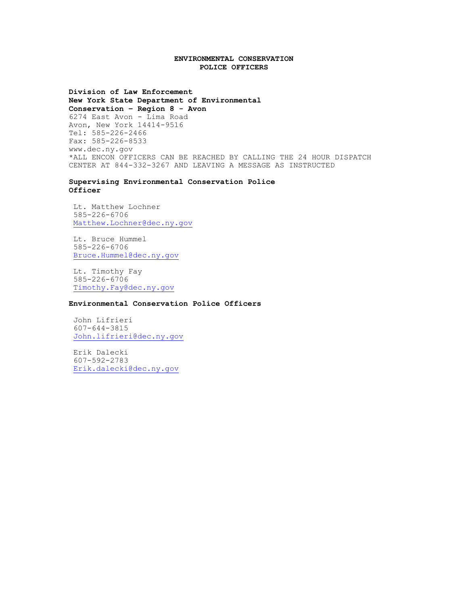### **ENVIRONMENTAL CONSERVATION POLICE OFFICERS**

**Division of Law Enforcement New York State Department of Environmental Conservation – Region 8 - Avon** 6274 East Avon - Lima Road Avon, New York 14414-9516 Tel: 585-226-2466 Fax: 585-226-8533 www.dec.ny.gov \*ALL ENCON OFFICERS CAN BE REACHED BY CALLING THE 24 HOUR DISPATCH CENTER AT 844-332-3267 AND LEAVING A MESSAGE AS INSTRUCTED

**Supervising Environmental Conservation Police Officer**

Lt. Matthew Lochner 585-226-6706 [Matthew.Lochner@dec.ny.gov](mailto:Matthew.Lochner@dec.ny.gov)

Lt. Bruce Hummel 585-226-6706 [Bruce.Hummel@dec.ny.gov](mailto:Bruce.Hummel@dec.ny.gov)

Lt. Timothy Fay 585-226-6706 [Timothy.Fay@dec.ny.gov](mailto:Timothy.Fay@dec.ny.gov)

**Environmental Conservation Police Officers**

John Lifrieri 607-644-3815 [John.lifrieri@dec.ny.gov](mailto:John.lifrieri@dec.ny.gov)

Erik Dalecki 607-592-2783 [Erik.dalecki@dec.ny.gov](mailto:Erik.dalecki@dec.ny.gov)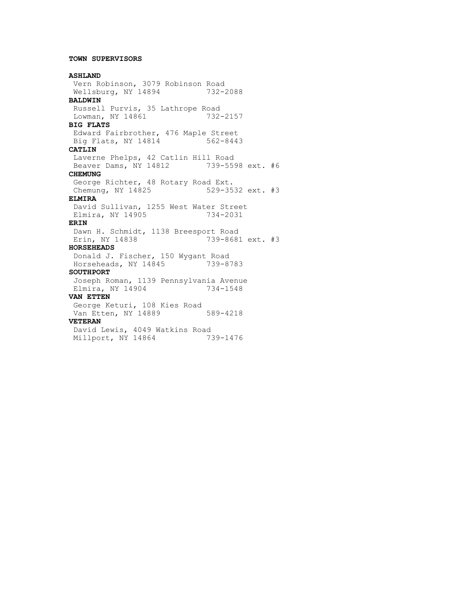## **TOWN SUPERVISORS**

## **ASHLAND** Vern Robinson, 3079 Robinson Road Wellsburg, NY 14894 732-2088 **BALDWIN** Russell Purvis, 35 Lathrope Road Lowman, NY 14861 732-2157 **BIG FLATS** Edward Fairbrother, 476 Maple Street Big Flats, NY 14814 562-8443 **CATLIN** Laverne Phelps, 42 Catlin Hill Road Beaver Dams, NY 14812 739-5598 ext. #6 **CHEMUNG** George Richter, 48 Rotary Road Ext. Chemung, NY 14825 529-3532 ext. #3 **ELMIRA** David Sullivan, 1255 West Water Street Elmira, NY 14905 734-2031 **ERIN** Dawn H. Schmidt, 1138 Breesport Road Erin, NY 14838 739-8681 ext. #3 **HORSEHEADS** Donald J. Fischer, 150 Wygant Road Horseheads, NY 14845 739-8783 **SOUTHPORT** Joseph Roman, 1139 Pennsylvania Avenue Elmira, NY 14904 734-1548 **VAN ETTEN** George Keturi, 108 Kies Road Van Etten, NY 14889 589-4218 **VETERAN** David Lewis, 4049 Watkins Road Millport, NY 14864 739-1476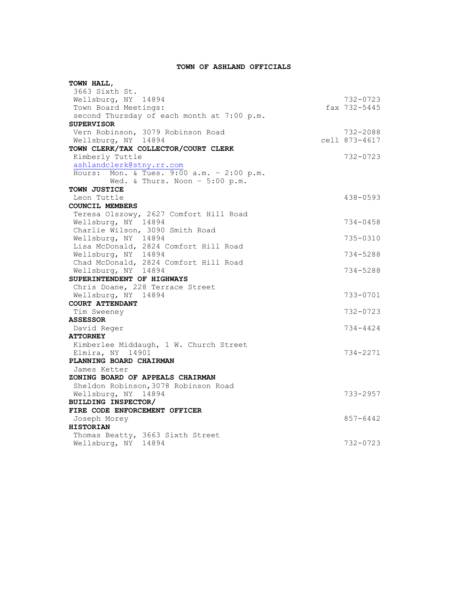## **TOWN OF ASHLAND OFFICIALS**

| TOWN HALL,                                                   |               |
|--------------------------------------------------------------|---------------|
| 3663 Sixth St.                                               |               |
| Wellsburg, NY 14894                                          | 732-0723      |
| Town Board Meetings:                                         | fax 732-5445  |
| second Thursday of each month at 7:00 p.m.                   |               |
| <b>SUPERVISOR</b>                                            |               |
| Vern Robinson, 3079 Robinson Road                            | 732-2088      |
| Wellsburg, NY 14894                                          | cell 873-4617 |
| TOWN CLERK/TAX COLLECTOR/COURT CLERK                         |               |
| Kimberly Tuttle                                              | 732-0723      |
| ashlandclerk@stny.rr.com                                     |               |
| Hours: Mon. & Tues. 9:00 a.m. - 2:00 p.m.                    |               |
| Wed. & Thurs. Noon - 5:00 p.m.                               |               |
| TOWN JUSTICE<br>Leon Tuttle                                  | 438-0593      |
| <b>COUNCIL MEMBERS</b>                                       |               |
| Teresa Olszowy, 2627 Comfort Hill Road                       |               |
| Wellsburg, NY 14894                                          | $734 - 0458$  |
| Charlie Wilson, 3090 Smith Road                              |               |
|                                                              | 735-0310      |
| Wellsburg, NY 14894<br>Lisa McDonald, 2824 Comfort Hill Road |               |
| Wellsburg, NY 14894                                          | $734 - 5288$  |
| Chad McDonald, 2824 Comfort Hill Road                        |               |
| Wellsburg, NY 14894                                          | $734 - 5288$  |
| SUPERINTENDENT OF HIGHWAYS                                   |               |
| Chris Doane, 228 Terrace Street                              |               |
| Wellsburg, NY 14894                                          | 733-0701      |
| COURT ATTENDANT                                              |               |
| Tim Sweeney                                                  | 732-0723      |
| <b>ASSESSOR</b>                                              |               |
| David Reger                                                  | 734-4424      |
| <b>ATTORNEY</b>                                              |               |
| Kimberlee Middaugh, 1 W. Church Street                       |               |
| Elmira, NY 14901                                             | 734-2271      |
| PLANNING BOARD CHAIRMAN                                      |               |
| James Ketter                                                 |               |
| ZONING BOARD OF APPEALS CHAIRMAN                             |               |
| Sheldon Robinson, 3078 Robinson Road                         |               |
| Wellsburg, NY 14894                                          | 733-2957      |
| BUILDING INSPECTOR/                                          |               |
| FIRE CODE ENFORCEMENT OFFICER                                |               |
| Joseph Morey                                                 | 857-6442      |
| <b>HISTORIAN</b>                                             |               |
| Thomas Beatty, 3663 Sixth Street<br>Wellsburg, NY 14894      | 732-0723      |
|                                                              |               |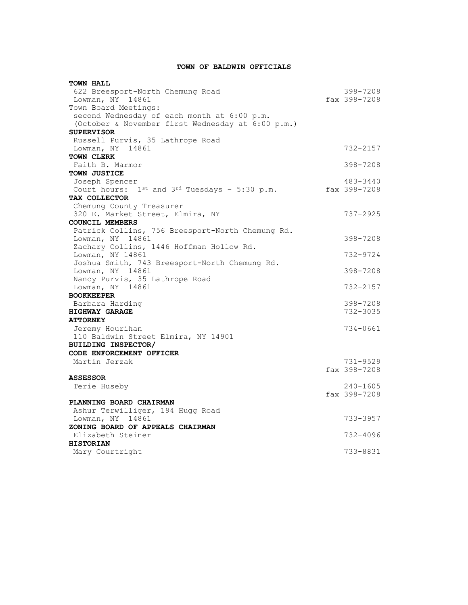## **TOWN OF BALDWIN OFFICIALS**

| <b>TOWN HALL</b>                                        |              |
|---------------------------------------------------------|--------------|
| 622 Breesport-North Chemung Road                        | 398-7208     |
| Lowman, NY 14861                                        | fax 398-7208 |
| Town Board Meetings:                                    |              |
| second Wednesday of each month at 6:00 p.m.             |              |
| (October & November first Wednesday at 6:00 p.m.)       |              |
| <b>SUPERVISOR</b>                                       |              |
| Russell Purvis, 35 Lathrope Road                        |              |
| Lowman, NY 14861                                        | 732-2157     |
| TOWN CLERK                                              |              |
| Faith B. Marmor                                         | 398-7208     |
| TOWN JUSTICE                                            |              |
| Joseph Spencer                                          | 483-3440     |
| Court hours: $1^{st}$ and $3^{rd}$ Tuesdays - 5:30 p.m. | fax 398-7208 |
| TAX COLLECTOR                                           |              |
| Chemung County Treasurer                                |              |
| 320 E. Market Street, Elmira, NY                        | 737-2925     |
| <b>COUNCIL MEMBERS</b>                                  |              |
| Patrick Collins, 756 Breesport-North Chemung Rd.        |              |
| Lowman, NY 14861                                        | 398-7208     |
| Zachary Collins, 1446 Hoffman Hollow Rd.                |              |
| Lowman, NY 14861                                        | 732-9724     |
| Joshua Smith, 743 Breesport-North Chemung Rd.           |              |
| Lowman, NY 14861                                        | 398-7208     |
| Nancy Purvis, 35 Lathrope Road                          |              |
| Lowman, NY 14861                                        | 732-2157     |
| <b>BOOKKEEPER</b>                                       |              |
| Barbara Harding                                         | 398-7208     |
| <b>HIGHWAY GARAGE</b>                                   | 732-3035     |
| <b>ATTORNEY</b>                                         |              |
| Jeremy Hourihan                                         | 734-0661     |
| 110 Baldwin Street Elmira, NY 14901                     |              |
| <b>BUILDING INSPECTOR/</b>                              |              |
| CODE ENFORCEMENT OFFICER                                |              |
| Martin Jerzak                                           | 731-9529     |
|                                                         | fax 398-7208 |
| <b>ASSESSOR</b>                                         |              |
| Terie Huseby                                            | $240 - 1605$ |
|                                                         | fax 398-7208 |
| PLANNING BOARD CHAIRMAN                                 |              |
| Ashur Terwilliger, 194 Hugg Road                        |              |
| Lowman, NY 14861                                        | 733-3957     |
| ZONING BOARD OF APPEALS CHAIRMAN                        |              |
| Elizabeth Steiner                                       | 732-4096     |
| <b>HISTORIAN</b>                                        |              |
| Mary Courtright                                         | 733-8831     |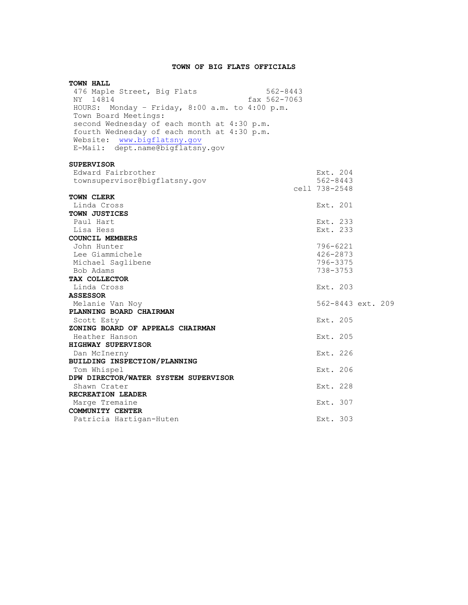## **TOWN OF BIG FLATS OFFICIALS**

| <b>TOWN HALL</b>                               |              |               |                   |  |
|------------------------------------------------|--------------|---------------|-------------------|--|
| 476 Maple Street, Big Flats                    | $562 - 8443$ |               |                   |  |
| NY 14814                                       | fax 562-7063 |               |                   |  |
| HOURS: Monday - Friday, 8:00 a.m. to 4:00 p.m. |              |               |                   |  |
| Town Board Meetings:                           |              |               |                   |  |
| second Wednesday of each month at 4:30 p.m.    |              |               |                   |  |
| fourth Wednesday of each month at 4:30 p.m.    |              |               |                   |  |
| Website: www.bigflatsny.gov                    |              |               |                   |  |
| E-Mail: dept.name@bigflatsny.gov               |              |               |                   |  |
| <b>SUPERVISOR</b>                              |              |               |                   |  |
| Edward Fairbrother                             |              | Ext. 204      |                   |  |
| townsupervisor@bigflatsny.gov                  |              | $562 - 8443$  |                   |  |
|                                                |              | cell 738-2548 |                   |  |
| <b>TOWN CLERK</b>                              |              |               |                   |  |
| Linda Cross                                    |              | Ext. 201      |                   |  |
| <b>TOWN JUSTICES</b>                           |              |               |                   |  |
| Paul Hart                                      |              | Ext. 233      |                   |  |
| Lisa Hess                                      |              | Ext. 233      |                   |  |
| <b>COUNCIL MEMBERS</b>                         |              |               |                   |  |
| John Hunter                                    |              | 796-6221      |                   |  |
| Lee Giammichele                                |              | 426-2873      |                   |  |
| Michael Saglibene                              |              | 796-3375      |                   |  |
| Bob Adams                                      |              | 738-3753      |                   |  |
| TAX COLLECTOR                                  |              |               |                   |  |
| Linda Cross                                    |              | Ext. 203      |                   |  |
| <b>ASSESSOR</b>                                |              |               |                   |  |
| Melanie Van Noy                                |              |               | 562-8443 ext. 209 |  |
| PLANNING BOARD CHAIRMAN                        |              |               |                   |  |
| Scott Esty<br>ZONING BOARD OF APPEALS CHAIRMAN |              | Ext. 205      |                   |  |
|                                                |              | Ext. 205      |                   |  |
| Heather Hanson<br>HIGHWAY SUPERVISOR           |              |               |                   |  |
| Dan McInerny                                   |              | Ext. 226      |                   |  |
| BUILDING INSPECTION/PLANNING                   |              |               |                   |  |
| Tom Whispel                                    |              | Ext. 206      |                   |  |
| DPW DIRECTOR/WATER SYSTEM SUPERVISOR           |              |               |                   |  |
| Shawn Crater                                   |              | Ext. 228      |                   |  |
| RECREATION LEADER                              |              |               |                   |  |
| Marge Tremaine                                 |              | Ext. 307      |                   |  |
| COMMUNITY CENTER                               |              |               |                   |  |
| Patricia Hartigan-Huten                        |              | Ext. 303      |                   |  |
|                                                |              |               |                   |  |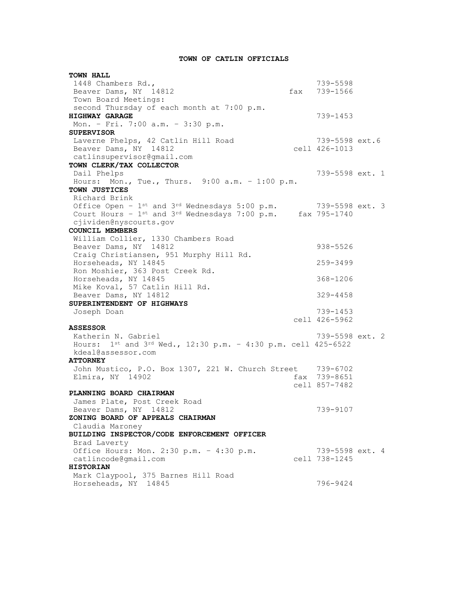## **TOWN OF CATLIN OFFICIALS**

**TOWN HALL** 1448 Chambers Rd., 739-5598 Beaver Dams, NY 14812 Town Board Meetings: second Thursday of each month at 7:00 p.m. **HIGHWAY GARAGE** 239-1453 Mon. – Fri. 7:00 a.m. – 3:30 p.m. **SUPERVISOR** Laverne Phelps, 42 Catlin Hill Road 739-5598 ext.6 Beaver Dams, NY 14812 cell 426-1013 Example Fields, and South Hills Work<br>
Beaver Dams, NY 14812<br>
catlinsupervisor@gmail.com **TOWN CLERK/TAX COLLECTOR** Dail Phelps 739-5598 ext. 1 Hours: Mon., Tue., Thurs. 9:00 a.m. – 1:00 p.m. **TOWN JUSTICES** Richard Brink Office Open -  $1$ <sup>st</sup> and  $3^{rd}$  Wednesdays  $5:00$  p.m.  $739-5598$  ext. 3 Court Hours -  $1^{st}$  and  $3^{rd}$  Wednesdays 7:00 p.m. fax 795-1740 cjividen@nyscourts.gov **COUNCIL MEMBERS** William Collier, 1330 Chambers Road Beaver Dams, NY 14812 938-5526 Craig Christiansen, 951 Murphy Hill Rd. Horseheads, NY 14845 259-3499 Ron Moshier, 363 Post Creek Rd.  $H$ orseheads, NY 14845  $368-1206$ Mike Koval, 57 Catlin Hill Rd. Beaver Dams, NY 14812 329-4458 **SUPERINTENDENT OF HIGHWAYS** Joseph Doan 739-1453 cell 426-5962 **ASSESSOR** Katherin N. Gabriel 2008 and 2008 739-5598 ext. 2 Hours: 1st and 3rd Wed., 12:30 p.m. – 4:30 p.m. cell 425-6522 kdeal@assessor.com **ATTORNEY** John Mustico, P.O. Box 1307, 221 W. Church Street 739-6702 Elmira, NY 14902 **fax 739-8651** cell 857-7482 **PLANNING BOARD CHAIRMAN** James Plate, Post Creek Road Beaver Dams, NY 14812 739-9107 **ZONING BOARD OF APPEALS CHAIRMAN** Claudia Maroney **BUILDING INSPECTOR/CODE ENFORCEMENT OFFICER** Brad Laverty Office Hours: Mon. 2:30 p.m. – 4:30 p.m. 739-5598 ext. 4 catlincode@gmail.com cell 738-1245 **HISTORIAN** Mark Claypool, 375 Barnes Hill Road Horseheads, NY 14845 796-9424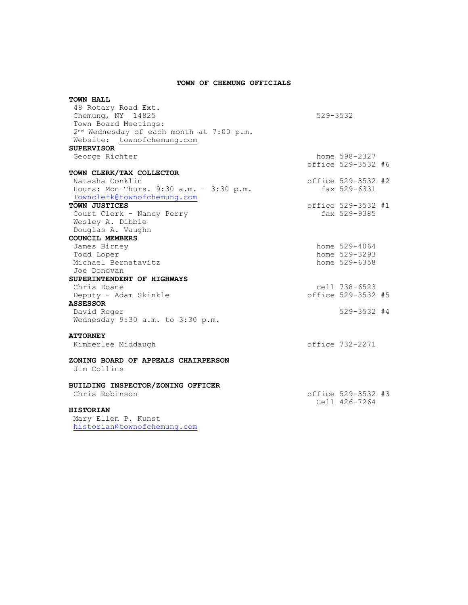### **TOWN OF CHEMUNG OFFICIALS**

| <b>TOWN HALL</b>                                     |              |                    |  |
|------------------------------------------------------|--------------|--------------------|--|
| 48 Rotary Road Ext.                                  |              |                    |  |
| Chemung, NY 14825                                    | $529 - 3532$ |                    |  |
| Town Board Meetings:                                 |              |                    |  |
| 2 <sup>nd</sup> Wednesday of each month at 7:00 p.m. |              |                    |  |
| Website: townofchemung.com                           |              |                    |  |
| <b>SUPERVISOR</b>                                    |              |                    |  |
| George Richter                                       |              | home 598-2327      |  |
|                                                      |              | office 529-3532 #6 |  |
| TOWN CLERK/TAX COLLECTOR                             |              |                    |  |
| Natasha Conklin                                      |              | office 529-3532 #2 |  |
| Hours: Mon-Thurs. 9:30 a.m. - 3:30 p.m.              |              | fax 529-6331       |  |
| Townclerk@townofchemung.com                          |              |                    |  |
| TOWN JUSTICES                                        |              | office 529-3532 #1 |  |
| Court Clerk - Nancy Perry                            |              | fax 529-9385       |  |
| Wesley A. Dibble                                     |              |                    |  |
| Douglas A. Vaughn                                    |              |                    |  |
| <b>COUNCIL MEMBERS</b>                               |              |                    |  |
| James Birney                                         |              | home 529-4064      |  |
| Todd Loper                                           |              | home 529-3293      |  |
| Michael Bernatavitz                                  |              | home 529-6358      |  |
| Joe Donovan                                          |              |                    |  |
| SUPERINTENDENT OF HIGHWAYS                           |              |                    |  |
| Chris Doane                                          |              | cell 738-6523      |  |
| Deputy - Adam Skinkle                                |              | office 529-3532 #5 |  |
| <b>ASSESSOR</b>                                      |              |                    |  |
| David Reger                                          |              | $529 - 3532$ #4    |  |
| Wednesday 9:30 a.m. to 3:30 p.m.                     |              |                    |  |
| <b>ATTORNEY</b>                                      |              |                    |  |
| Kimberlee Middaugh                                   |              | office 732-2271    |  |
| ZONING BOARD OF APPEALS CHAIRPERSON                  |              |                    |  |
| Jim Collins                                          |              |                    |  |
| BUILDING INSPECTOR/ZONING OFFICER                    |              |                    |  |
| Chris Robinson                                       |              | office 529-3532 #3 |  |
|                                                      |              | Cell 426-7264      |  |
| <b>HISTORIAN</b>                                     |              |                    |  |
| Mary Ellen P. Kunst                                  |              |                    |  |

[historian@townofchemung.com](mailto:historian@townofchemung.com)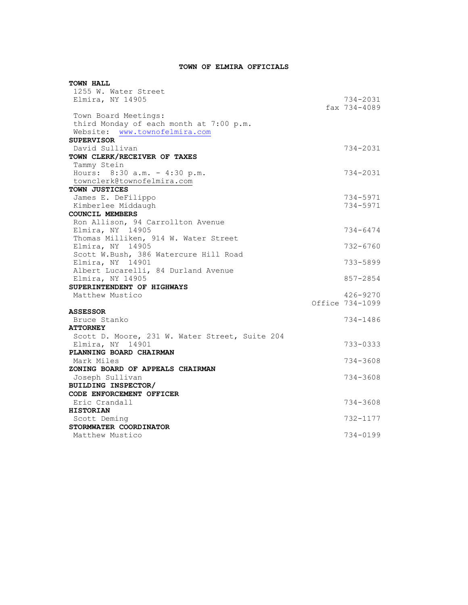## **TOWN OF ELMIRA OFFICIALS**

| TOWN HALL                                      |                 |
|------------------------------------------------|-----------------|
| 1255 W. Water Street                           |                 |
| Elmira, NY 14905                               | 734-2031        |
|                                                | fax 734-4089    |
| Town Board Meetings:                           |                 |
| third Monday of each month at 7:00 p.m.        |                 |
| Website: www.townofelmira.com                  |                 |
| <b>SUPERVISOR</b>                              | 734-2031        |
| David Sullivan<br>TOWN CLERK/RECEIVER OF TAXES |                 |
| Tammy Stein                                    |                 |
| Hours: 8:30 a.m. - 4:30 p.m.                   | 734-2031        |
| townclerk@townofelmira.com                     |                 |
| TOWN JUSTICES                                  |                 |
| James E. DeFilippo                             | 734-5971        |
| Kimberlee Middaugh                             | 734-5971        |
| COUNCIL MEMBERS                                |                 |
| Ron Allison, 94 Carrollton Avenue              |                 |
| Elmira, NY 14905                               | 734-6474        |
| Thomas Milliken, 914 W. Water Street           |                 |
| Elmira, NY 14905                               | $732 - 6760$    |
| Scott W.Bush, 386 Watercure Hill Road          |                 |
| Elmira, NY 14901                               | 733-5899        |
| Albert Lucarelli, 84 Durland Avenue            |                 |
| Elmira, NY 14905                               | 857-2854        |
| SUPERINTENDENT OF HIGHWAYS                     |                 |
| Matthew Mustico                                | 426-9270        |
| <b>ASSESSOR</b>                                | Office 734-1099 |
| Bruce Stanko                                   | 734-1486        |
| <b>ATTORNEY</b>                                |                 |
| Scott D. Moore, 231 W. Water Street, Suite 204 |                 |
| Elmira, NY 14901                               | 733-0333        |
| PLANNING BOARD CHAIRMAN                        |                 |
| Mark Miles                                     | 734-3608        |
| ZONING BOARD OF APPEALS CHAIRMAN               |                 |
| Joseph Sullivan                                | 734-3608        |
| BUILDING INSPECTOR/                            |                 |
| CODE ENFORCEMENT OFFICER                       |                 |
| Eric Crandall                                  | 734-3608        |
| <b>HISTORIAN</b>                               |                 |
| Scott Deming                                   | 732-1177        |
| STORMWATER COORDINATOR                         |                 |
| Matthew Mustico                                | 734-0199        |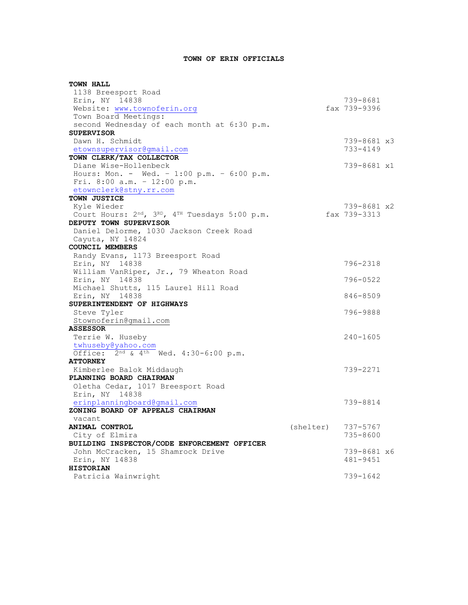# **TOWN OF ERIN OFFICIALS**

| <b>TOWN HALL</b>                                                       |                      |                         |  |
|------------------------------------------------------------------------|----------------------|-------------------------|--|
| 1138 Breesport Road                                                    |                      |                         |  |
| Erin, NY 14838                                                         |                      | 739-8681                |  |
| Website: www.townoferin.org                                            |                      | fax 739-9396            |  |
| Town Board Meetings:                                                   |                      |                         |  |
| second Wednesday of each month at 6:30 p.m.                            |                      |                         |  |
| <b>SUPERVISOR</b>                                                      |                      |                         |  |
| Dawn H. Schmidt                                                        |                      | 739-8681 x3             |  |
| etownsupervisor@gmail.com                                              |                      | 733-4149                |  |
| TOWN CLERK/TAX COLLECTOR                                               |                      |                         |  |
| Diane Wise-Hollenbeck                                                  |                      | 739-8681 x1             |  |
| Hours: Mon. - Wed. - 1:00 p.m. - 6:00 p.m.                             |                      |                         |  |
| Fri. 8:00 a.m. - 12:00 p.m.                                            |                      |                         |  |
| etownclerk@stny.rr.com<br>TOWN JUSTICE                                 |                      |                         |  |
| Kyle Wieder                                                            |                      | 739-8681 x2             |  |
| Court Hours: 2 <sup>nd</sup> , 3RD, 4 <sup>TH</sup> Tuesdays 5:00 p.m. |                      | fax 739-3313            |  |
| DEPUTY TOWN SUPERVISOR                                                 |                      |                         |  |
| Daniel Delorme, 1030 Jackson Creek Road                                |                      |                         |  |
| Cayuta, NY 14824                                                       |                      |                         |  |
| COUNCIL MEMBERS                                                        |                      |                         |  |
| Randy Evans, 1173 Breesport Road                                       |                      |                         |  |
| Erin, NY 14838                                                         |                      | 796-2318                |  |
| William VanRiper, Jr., 79 Wheaton Road                                 |                      |                         |  |
| Erin, NY 14838                                                         |                      | 796-0522                |  |
| Michael Shutts, 115 Laurel Hill Road                                   |                      |                         |  |
| Erin, NY 14838                                                         |                      | 846-8509                |  |
| SUPERINTENDENT OF HIGHWAYS                                             |                      |                         |  |
| Steve Tyler                                                            |                      | 796-9888                |  |
| Stownoferin@gmail.com                                                  |                      |                         |  |
| <b>ASSESSOR</b>                                                        |                      |                         |  |
| Terrie W. Huseby                                                       |                      | $240 - 1605$            |  |
| twhuseby@yahoo.com                                                     |                      |                         |  |
| Office: $2^{nd}$ & $4^{th}$ Wed. 4:30-6:00 p.m.                        |                      |                         |  |
| <b>ATTORNEY</b>                                                        |                      |                         |  |
| Kimberlee Balok Middaugh                                               |                      | 739-2271                |  |
| PLANNING BOARD CHAIRMAN                                                |                      |                         |  |
| Oletha Cedar, 1017 Breesport Road                                      |                      |                         |  |
| Erin, NY 14838                                                         |                      |                         |  |
| erinplanningboard@gmail.com                                            |                      | 739-8814                |  |
| ZONING BOARD OF APPEALS CHAIRMAN                                       |                      |                         |  |
| vacant                                                                 |                      |                         |  |
| ANIMAL CONTROL                                                         | $(shelter)$ 737-5767 |                         |  |
| City of Elmira                                                         |                      | 735-8600                |  |
| BUILDING INSPECTOR/CODE ENFORCEMENT OFFICER                            |                      |                         |  |
| John McCracken, 15 Shamrock Drive<br>Erin, NY 14838                    |                      | 739-8681 x6<br>481-9451 |  |
| <b>HISTORIAN</b>                                                       |                      |                         |  |
|                                                                        |                      | 739-1642                |  |
| Patricia Wainwright                                                    |                      |                         |  |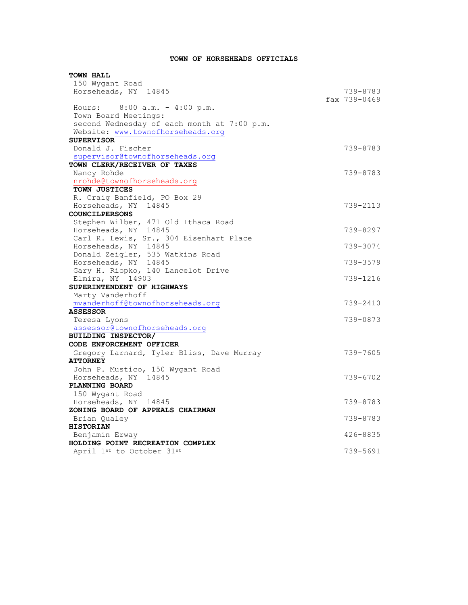# **TOWN OF HORSEHEADS OFFICIALS**

| <b>TOWN HALL</b>                            |              |
|---------------------------------------------|--------------|
| 150 Wygant Road                             |              |
| Horseheads, NY 14845                        | 739-8783     |
|                                             | fax 739-0469 |
| Hours: $8:00 a.m. - 4:00 p.m.$              |              |
| Town Board Meetings:                        |              |
| second Wednesday of each month at 7:00 p.m. |              |
| Website: www.townofhorseheads.org           |              |
| <b>SUPERVISOR</b>                           |              |
| Donald J. Fischer                           | 739-8783     |
| supervisor@townofhorseheads.org             |              |
| TOWN CLERK/RECEIVER OF TAXES                |              |
| Nancy Rohde                                 | 739-8783     |
| nrohde@townofhorseheads.org                 |              |
| TOWN JUSTICES                               |              |
| R. Craig Banfield, PO Box 29                |              |
| Horseheads, NY 14845                        | 739-2113     |
| <b>COUNCILPERSONS</b>                       |              |
| Stephen Wilber, 471 Old Ithaca Road         |              |
| Horseheads, NY 14845                        | 739-8297     |
| Carl R. Lewis, Sr., 304 Eisenhart Place     |              |
| Horseheads, NY 14845                        | 739-3074     |
| Donald Zeigler, 535 Watkins Road            |              |
| Horseheads, NY 14845                        | 739-3579     |
| Gary H. Riopko, 140 Lancelot Drive          |              |
| Elmira, NY 14903                            | 739-1216     |
| SUPERINTENDENT OF HIGHWAYS                  |              |
| Marty Vanderhoff                            |              |
| mvanderhoff@townofhorseheads.org            | 739-2410     |
| <b>ASSESSOR</b>                             |              |
| Teresa Lyons                                | 739-0873     |
| assessor@townofhorseheads.org               |              |
| <b>BUILDING INSPECTOR/</b>                  |              |
| CODE ENFORCEMENT OFFICER                    |              |
| Gregory Larnard, Tyler Bliss, Dave Murray   | 739-7605     |
| <b>ATTORNEY</b>                             |              |
| John P. Mustico, 150 Wygant Road            |              |
| Horseheads, NY 14845                        | 739-6702     |
| PLANNING BOARD                              |              |
| 150 Wygant Road                             |              |
| Horseheads, NY 14845                        | 739-8783     |
| ZONING BOARD OF APPEALS CHAIRMAN            |              |
| Brian Qualey                                | 739-8783     |
| <b>HISTORIAN</b>                            |              |
| Benjamin Erway                              | $426 - 8835$ |
| HOLDING POINT RECREATION COMPLEX            |              |
| April 1st to October 31st                   | 739-5691     |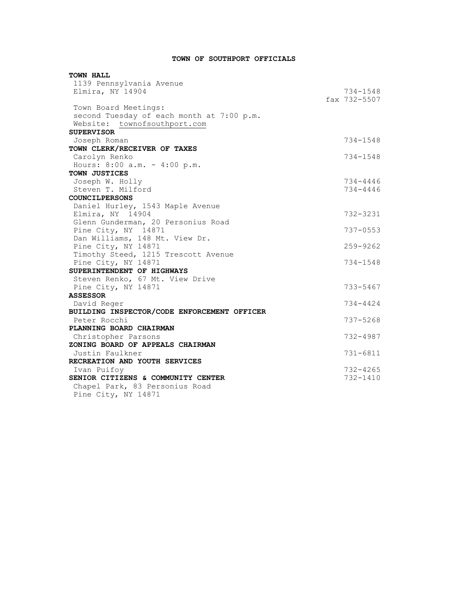# **TOWN OF SOUTHPORT OFFICIALS**

| <b>TOWN HALL</b>                            |              |
|---------------------------------------------|--------------|
| 1139 Pennsylvania Avenue                    |              |
| Elmira, NY 14904                            | 734-1548     |
|                                             | fax 732-5507 |
| Town Board Meetings:                        |              |
| second Tuesday of each month at 7:00 p.m.   |              |
| Website: townofsouthport.com                |              |
| <b>SUPERVISOR</b>                           |              |
| Joseph Roman                                | 734-1548     |
| TOWN CLERK/RECEIVER OF TAXES                |              |
| Carolyn Renko                               | 734-1548     |
| Hours: 8:00 a.m. - 4:00 p.m.                |              |
| TOWN JUSTICES                               |              |
| Joseph W. Holly                             | 734-4446     |
| Steven T. Milford                           | 734-4446     |
| <b>COUNCILPERSONS</b>                       |              |
| Daniel Hurley, 1543 Maple Avenue            |              |
| Elmira, NY 14904                            | 732-3231     |
| Glenn Gunderman, 20 Personius Road          |              |
| Pine City, NY 14871                         | $737 - 0553$ |
| Dan Williams, 148 Mt. View Dr.              |              |
| Pine City, NY 14871                         | $259 - 9262$ |
| Timothy Steed, 1215 Trescott Avenue         |              |
| Pine City, NY 14871                         | $734 - 1548$ |
| SUPERINTENDENT OF HIGHWAYS                  |              |
| Steven Renko, 67 Mt. View Drive             |              |
| Pine City, NY 14871                         | 733-5467     |
| <b>ASSESSOR</b>                             |              |
| David Reger                                 | 734-4424     |
| BUILDING INSPECTOR/CODE ENFORCEMENT OFFICER |              |
| Peter Rocchi                                | 737-5268     |
| PLANNING BOARD CHAIRMAN                     |              |
| Christopher Parsons                         | 732-4987     |
| ZONING BOARD OF APPEALS CHAIRMAN            |              |
| Justin Faulkner                             | $731 - 6811$ |
| RECREATION AND YOUTH SERVICES               |              |
| Ivan Puifoy                                 | $732 - 4265$ |
| SENIOR CITIZENS & COMMUNITY CENTER          | $732 - 1410$ |
| Chapel Park, 83 Personius Road              |              |
| Pine City, NY 14871                         |              |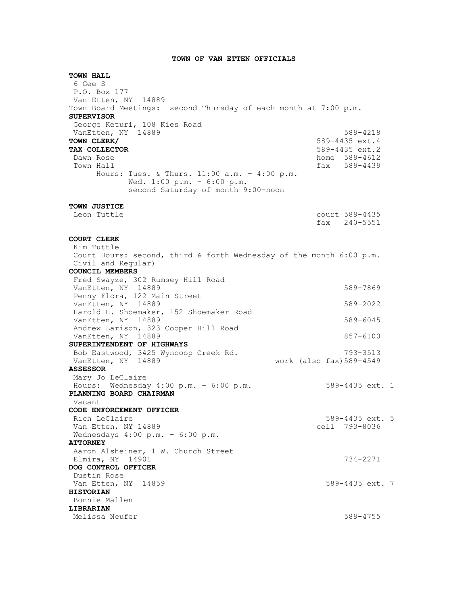### **TOWN OF VAN ETTEN OFFICIALS**

**TOWN HALL** 6 Gee S P.O. Box 177 Van Etten, NY 14889 Town Board Meetings: second Thursday of each month at 7:00 p.m. **SUPERVISOR** George Keturi, 108 Kies Road VanEtten, NY 14889 589-4218 **TOWN CLERK/** 589-4435 ext.4 **TAX COLLECTOR** 6.1 **TAX COLLECTOR** 589-4435 ext.2 Dawn Rose home 589-4612 Town Hall **fax** 589-4439 Hours: Tues. & Thurs. 11:00 a.m. – 4:00 p.m. Wed. 1:00 p.m. – 6:00 p.m. second Saturday of month 9:00-noon **TOWN JUSTICE** Leon Tuttle court 589-4435 fax 240-5551 **COURT CLERK** Kim Tuttle Court Hours: second, third & forth Wednesday of the month 6:00 p.m. Civil and Regular) **COUNCIL MEMBERS** Fred Swayze, 302 Rumsey Hill Road VanEtten, NY 14889 7889-7869 Penny Flora, 122 Main Street VanEtten, NY 14889 589-2022 Harold E. Shoemaker, 152 Shoemaker Road VanEtten, NY 14889 589-6045 Andrew Larison, 323 Cooper Hill Road VanEtten, NY 14889 857-6100 **SUPERINTENDENT OF HIGHWAYS** Bob Eastwood, 3425 Wyncoop Creek Rd. 793-3513 VanEtten, NY 14889 work (also fax)589-4549 **ASSESSOR** Mary Jo LeClaire Hours: Wednesday 4:00 p.m. – 6:00 p.m. 589-4435 ext. 1 **PLANNING BOARD CHAIRMAN** Vacant **CODE ENFORCEMENT OFFICER** Rich LeClaire 589-4435 ext. 5<br>
Van Etten, NY 14889 (1993-8036) Van Etten, NY 14889 Wednesdays 4:00 p.m. - 6:00 p.m. **ATTORNEY** Aaron Alsheiner, 1 W. Church Street Elmira, NY 14901 734-2271 **DOG CONTROL OFFICER**  Dustin Rose Van Etten, NY 14859 589-4435 ext. 7 **HISTORIAN** Bonnie Mallen **LIBRARIAN** Melissa Neufer 589-4755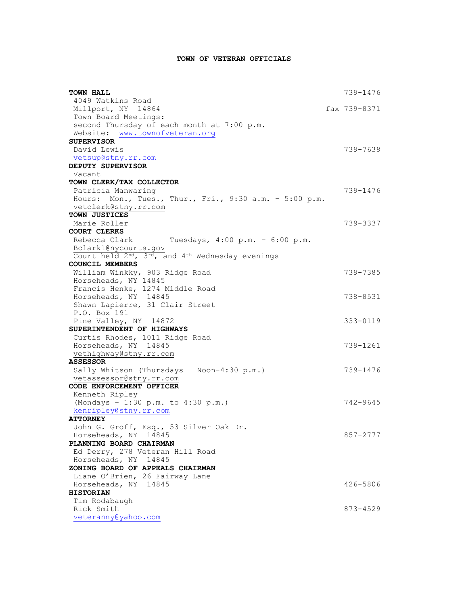# **TOWN OF VETERAN OFFICIALS**

| TOWN HALL                                                                             | 739-1476     |
|---------------------------------------------------------------------------------------|--------------|
| 4049 Watkins Road                                                                     |              |
| Millport, NY 14864                                                                    | fax 739-8371 |
| Town Board Meetings:                                                                  |              |
| second Thursday of each month at 7:00 p.m.                                            |              |
| Website: www.townofveteran.org                                                        |              |
| <b>SUPERVISOR</b>                                                                     |              |
| David Lewis                                                                           | 739-7638     |
| vetsup@stny.rr.com                                                                    |              |
| DEPUTY SUPERVISOR                                                                     |              |
| Vacant                                                                                |              |
| TOWN CLERK/TAX COLLECTOR                                                              |              |
| Patricia Manwaring                                                                    | 739-1476     |
| Hours: Mon., Tues., Thur., Fri., 9:30 a.m. - 5:00 p.m.                                |              |
| vetclerk@stny.rr.com                                                                  |              |
| TOWN JUSTICES                                                                         |              |
| Marie Roller                                                                          | 739-3337     |
| <b>COURT CLERKS</b>                                                                   |              |
| Rebecca Clark Tuesdays, 4:00 p.m. - 6:00 p.m.                                         |              |
| Bclark1@nycourts.gov                                                                  |              |
| Court held 2 <sup>nd</sup> , 3 <sup>rd</sup> , and 4 <sup>th</sup> Wednesday evenings |              |
| <b>COUNCIL MEMBERS</b>                                                                |              |
| William Winkky, 903 Ridge Road                                                        | 739-7385     |
| Horseheads, NY 14845<br>Francis Henke, 1274 Middle Road                               |              |
| Horseheads, NY 14845                                                                  | 738-8531     |
| Shawn Lapierre, 31 Clair Street                                                       |              |
| P.O. Box 191                                                                          |              |
| Pine Valley, NY 14872                                                                 | 333-0119     |
| SUPERINTENDENT OF HIGHWAYS                                                            |              |
| Curtis Rhodes, 1011 Ridge Road                                                        |              |
| Horseheads, NY 14845                                                                  | 739-1261     |
| vethighway@stny.rr.com                                                                |              |
| <b>ASSESSOR</b>                                                                       |              |
| Sally Whitson (Thursdays - Noon-4:30 p.m.)                                            | 739-1476     |
| vetassessor@stny.rr.com                                                               |              |
| CODE ENFORCEMENT OFFICER                                                              |              |
| Kenneth Ripley                                                                        |              |
| (Mondays - 1:30 p.m. to 4:30 p.m.)                                                    | 742-9645     |
| kenripley@stny.rr.com                                                                 |              |
| <b>ATTORNEY</b>                                                                       |              |
| John G. Groff, Esq., 53 Silver Oak Dr.                                                |              |
| Horseheads, NY 14845                                                                  | 857-2777     |
| PLANNING BOARD CHAIRMAN                                                               |              |
| Ed Derry, 278 Veteran Hill Road                                                       |              |
| Horseheads, NY 14845                                                                  |              |
| ZONING BOARD OF APPEALS CHAIRMAN                                                      |              |
| Liane O'Brien, 26 Fairway Lane                                                        |              |
| Horseheads, NY 14845                                                                  | 426-5806     |
| <b>HISTORIAN</b>                                                                      |              |
| Tim Rodabaugh                                                                         |              |
| Rick Smith                                                                            | 873-4529     |
| veteranny@yahoo.com                                                                   |              |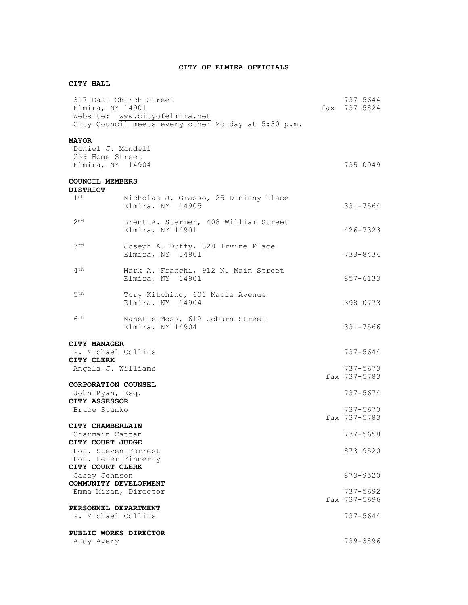## **CITY OF ELMIRA OFFICIALS**

# **CITY HALL**

| Elmira, NY 14901                                                                  | 317 East Church Street<br>Website: www.cityofelmira.net<br>City Council meets every other Monday at 5:30 p.m. | 737-5644<br>fax 737-5824 |
|-----------------------------------------------------------------------------------|---------------------------------------------------------------------------------------------------------------|--------------------------|
| <b>MAYOR</b><br>Daniel J. Mandell<br>239 Home Street<br>Elmira, NY 14904          |                                                                                                               | 735-0949                 |
| <b>COUNCIL MEMBERS</b><br><b>DISTRICT</b>                                         |                                                                                                               |                          |
| 1 st                                                                              | Nicholas J. Grasso, 25 Dininny Place<br>Elmira, NY 14905                                                      | $331 - 7564$             |
| 2 <sup>nd</sup>                                                                   | Brent A. Stermer, 408 William Street<br>Elmira, NY 14901                                                      | 426-7323                 |
| 3rd                                                                               | Joseph A. Duffy, 328 Irvine Place<br>Elmira, NY 14901                                                         | 733-8434                 |
| 4 <sup>th</sup>                                                                   | Mark A. Franchi, 912 N. Main Street<br>Elmira, NY 14901                                                       | 857-6133                 |
| 5 <sup>th</sup>                                                                   | Tory Kitching, 601 Maple Avenue<br>Elmira, NY 14904                                                           | 398-0773                 |
| 6 <sup>th</sup>                                                                   | Nanette Moss, 612 Coburn Street<br>Elmira, NY 14904                                                           | $331 - 7566$             |
| CITY MANAGER<br>P. Michael Collins<br>CITY CLERK<br>Angela J. Williams            |                                                                                                               | 737-5644<br>737-5673     |
| <b>CORPORATION COUNSEL</b><br>John Ryan, Esq.<br>CITY ASSESSOR                    |                                                                                                               | fax 737-5783<br>737-5674 |
| Bruce Stanko<br>CITY CHAMBERLAIN                                                  |                                                                                                               | 737-5670<br>fax 737-5783 |
| Charmain Cattan<br>CITY COURT JUDGE<br>Hon. Steven Forrest<br>Hon. Peter Finnerty |                                                                                                               | 737-5658<br>$873 - 9520$ |
| CITY COURT CLERK<br>Casey Johnson<br>COMMUNITY DEVELOPMENT                        |                                                                                                               | 873-9520                 |
| Emma Miran, Director                                                              |                                                                                                               | 737-5692<br>fax 737-5696 |
| PERSONNEL DEPARTMENT<br>P. Michael Collins                                        |                                                                                                               | 737-5644                 |
| PUBLIC WORKS DIRECTOR<br>Andy Avery                                               |                                                                                                               | 739-3896                 |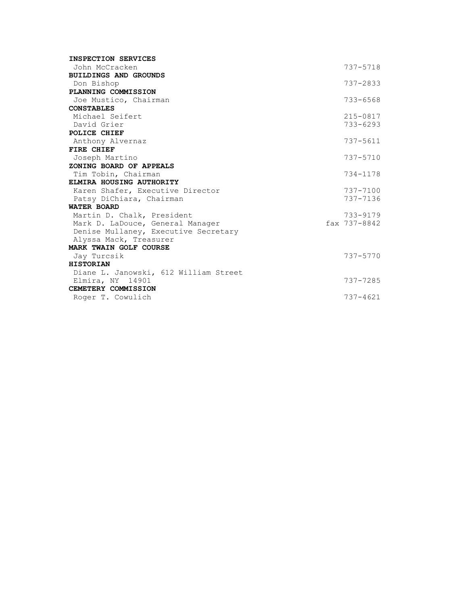| INSPECTION SERVICES                                          |              |
|--------------------------------------------------------------|--------------|
| John McCracken                                               | 737-5718     |
| <b>BUILDINGS AND GROUNDS</b>                                 |              |
| Don Bishop                                                   | $737 - 2833$ |
| PLANNING COMMISSION                                          |              |
| Joe Mustico, Chairman                                        | $733 - 6568$ |
| <b>CONSTABLES</b>                                            |              |
| Michael Seifert                                              | $215 - 0817$ |
| David Grier                                                  | $733 - 6293$ |
| POLICE CHIEF                                                 |              |
| Anthony Alvernaz                                             | $737 - 5611$ |
| FIRE CHIEF                                                   |              |
| Joseph Martino                                               | 737-5710     |
| ZONING BOARD OF APPEALS                                      |              |
| Tim Tobin, Chairman                                          | 734-1178     |
| ELMIRA HOUSING AUTHORITY                                     | 737-7100     |
| Karen Shafer, Executive Director<br>Patsy DiChiara, Chairman | 737-7136     |
| <b>WATER BOARD</b>                                           |              |
| Martin D. Chalk, President                                   | 733-9179     |
| Mark D. LaDouce, General Manager                             | fax 737-8842 |
| Denise Mullaney, Executive Secretary                         |              |
| Alyssa Mack, Treasurer                                       |              |
| MARK TWAIN GOLF COURSE                                       |              |
| Jay Turcsik                                                  | $737 - 5770$ |
| <b>HISTORIAN</b>                                             |              |
| Diane L. Janowski, 612 William Street                        |              |
| Elmira, NY 14901                                             | 737-7285     |
| CEMETERY COMMISSION                                          |              |
| Roger T. Cowulich                                            | $737 - 4621$ |
|                                                              |              |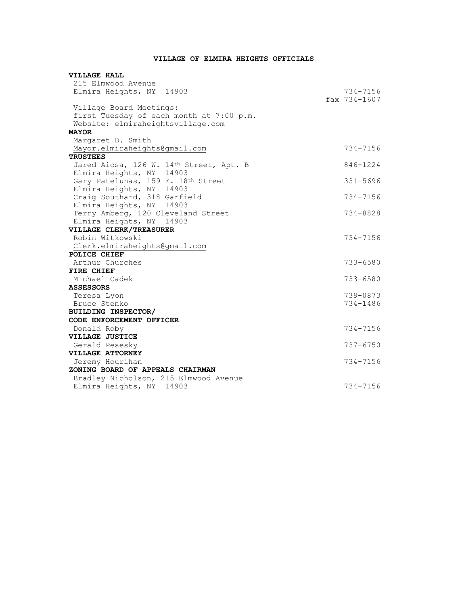# **VILLAGE OF ELMIRA HEIGHTS OFFICIALS**

| VILLAGE HALL                             |                  |
|------------------------------------------|------------------|
| 215 Elmwood Avenue                       |                  |
| Elmira Heights, NY 14903                 | 734-7156         |
|                                          | $fax 734 - 1607$ |
| Village Board Meetings:                  |                  |
| first Tuesday of each month at 7:00 p.m. |                  |
| Website: elmiraheightsvillage.com        |                  |
| <b>MAYOR</b>                             |                  |
| Margaret D. Smith                        |                  |
| Mayor.elmiraheights@gmail.com            | 734-7156         |
| <b>TRUSTEES</b>                          |                  |
| Jared Aiosa, 126 W. 14th Street, Apt. B  | 846-1224         |
| Elmira Heights, NY 14903                 |                  |
| Gary Patelunas, 159 E. 18th Street       | $331 - 5696$     |
| Elmira Heights, NY 14903                 |                  |
| Craig Southard, 318 Garfield             | 734-7156         |
| Elmira Heights, NY 14903                 |                  |
| Terry Amberg, 120 Cleveland Street       | 734-8828         |
| Elmira Heights, NY 14903                 |                  |
| VILLAGE CLERK/TREASURER                  |                  |
| Robin Witkowski                          | 734-7156         |
| Clerk.elmiraheights@gmail.com            |                  |
| POLICE CHIEF                             |                  |
| Arthur Churches                          | $733 - 6580$     |
| FIRE CHIEF                               |                  |
| Michael Cadek                            | $733 - 6580$     |
| <b>ASSESSORS</b>                         |                  |
| Teresa Lyon                              | 739-0873         |
| Bruce Stenko                             | 734-1486         |
| BUILDING INSPECTOR/                      |                  |
| CODE ENFORCEMENT OFFICER                 |                  |
| Donald Roby                              | 734-7156         |
| VILLAGE JUSTICE                          |                  |
| Gerald Pesesky                           | $737 - 6750$     |
| VILLAGE ATTORNEY                         |                  |
| Jeremy Hourihan                          | 734-7156         |
| ZONING BOARD OF APPEALS CHAIRMAN         |                  |
| Bradley Nicholson, 215 Elmwood Avenue    |                  |
| Elmira Heights, NY 14903                 | 734-7156         |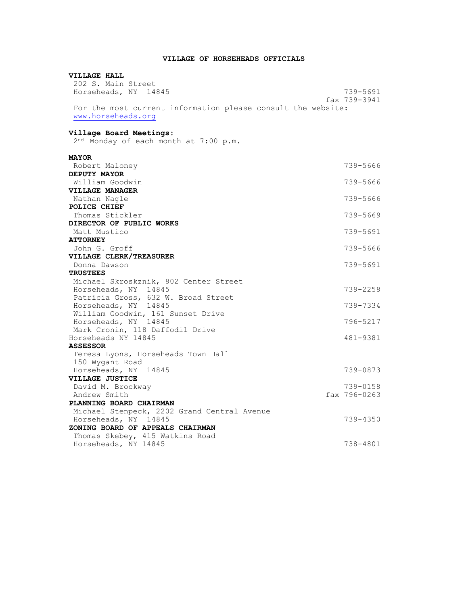### **VILLAGE OF HORSEHEADS OFFICIALS**

## **VILLAGE HALL** 202 S. Main Street Horseheads, NY 14845 739-5691 fax 739-3941 For the most current information please consult the website: [www.horseheads.org](http://www.horseheads.org/) **Village Board Meetings:** 2<sup>nd</sup> Monday of each month at 7:00 p.m. **MAYOR** Robert Maloney 739-5666 **DEPUTY MAYOR** William Goodwin 739-5666 **VILLAGE MANAGER** Nathan Nagle 739-5666 **POLICE CHIEF** Thomas Stickler 739-5669 **DIRECTOR OF PUBLIC WORKS** Matt Mustico 739-5691 **ATTORNEY** John G. Groff 739-5666 **VILLAGE CLERK/TREASURER** Donna Dawson 739-5691 **TRUSTEES** Michael Skroskznik, 802 Center Street Horseheads, NY 14845 739-2258 Patricia Gross, 632 W. Broad Street Horseheads, NY 14845 739-7334 William Goodwin, 161 Sunset Drive Horseheads, NY 14845 796-5217 Mark Cronin, 118 Daffodil Drive Horseheads NY 14845 481-9381 **ASSESSOR** Teresa Lyons, Horseheads Town Hall 150 Wygant Road Horseheads, NY 14845 739-0873 **VILLAGE JUSTICE** David M. Brockway 739-0158<br>Andrew Smith 1980 1991 1992 1994 1995 1996-0263 Andrew Smith **PLANNING BOARD CHAIRMAN** Michael Stenpeck, 2202 Grand Central Avenue Horseheads, NY 14845 739-4350 **ZONING BOARD OF APPEALS CHAIRMAN** Thomas Skebey, 415 Watkins Road Horseheads, NY 14845 738-4801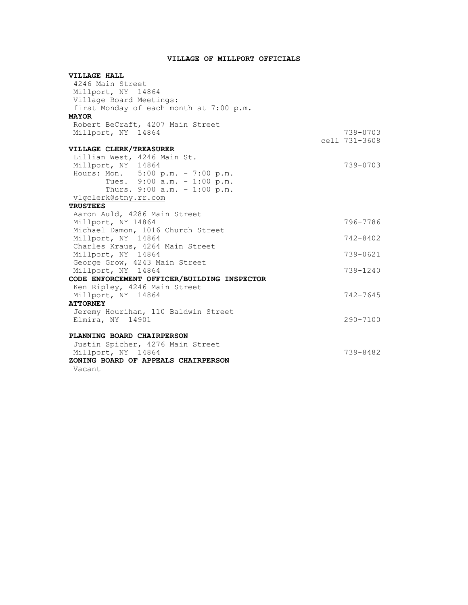# **VILLAGE OF MILLPORT OFFICIALS**

| VILLAGE HALL                                |               |
|---------------------------------------------|---------------|
| 4246 Main Street                            |               |
| Millport, NY 14864                          |               |
| Village Board Meetings:                     |               |
| first Monday of each month at 7:00 p.m.     |               |
| <b>MAYOR</b>                                |               |
| Robert BeCraft, 4207 Main Street            |               |
| Millport, NY 14864                          | 739-0703      |
|                                             | cell 731-3608 |
| VILLAGE CLERK/TREASURER                     |               |
| Lillian West, 4246 Main St.                 |               |
| Millport, NY 14864                          | 739-0703      |
| Hours: Mon. 5:00 p.m. - 7:00 p.m.           |               |
| Tues. 9:00 a.m. - 1:00 p.m.                 |               |
| Thurs. 9:00 a.m. - 1:00 p.m.                |               |
| vlgclerk@stny.rr.com                        |               |
| <b>TRUSTEES</b>                             |               |
| Aaron Auld, 4286 Main Street                |               |
| Millport, NY 14864                          | 796-7786      |
| Michael Damon, 1016 Church Street           |               |
| Millport, NY 14864                          | $742 - 8402$  |
| Charles Kraus, 4264 Main Street             |               |
| Millport, NY 14864                          | $739 - 0621$  |
| George Grow, 4243 Main Street               |               |
| Millport, NY 14864                          | $739 - 1240$  |
| CODE ENFORCEMENT OFFICER/BUILDING INSPECTOR |               |
| Ken Ripley, 4246 Main Street                |               |
| Millport, NY 14864                          | $742 - 7645$  |
| <b>ATTORNEY</b>                             |               |
| Jeremy Hourihan, 110 Baldwin Street         |               |
| Elmira, NY 14901                            | $290 - 7100$  |
|                                             |               |
| PLANNING BOARD CHAIRPERSON                  |               |
| Justin Spicher, 4276 Main Street            |               |
| Millport, NY 14864                          | 739-8482      |
| ZONING BOARD OF APPEALS CHAIRPERSON         |               |
| Vacant                                      |               |